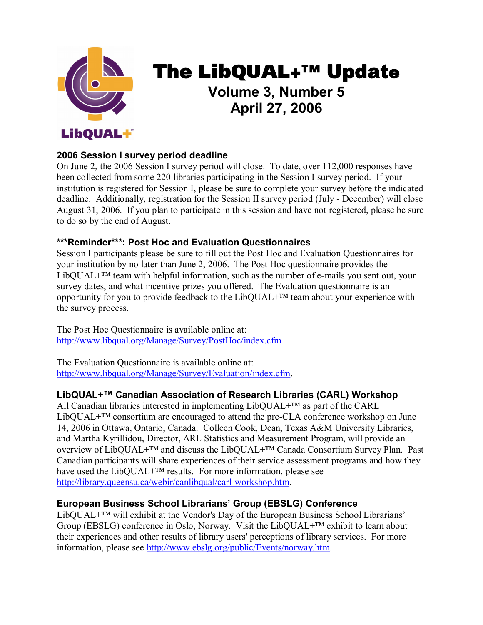

# The **LibQUAL+™** Update **Volume 3, Number 5 April 27, 2006**

# **2006 Session I survey period deadline**

On June 2, the 2006 Session I survey period will close. To date, over 112,000 responses have been collected from some 220 libraries participating in the Session I survey period. If your institution is registered for Session I, please be sure to complete your survey before the indicated deadline. Additionally, registration for the Session II survey period (July - December) will close August 31, 2006. If you plan to participate in this session and have not registered, please be sure to do so by the end of August.

#### **\*\*\*Reminder\*\*\*: Post Hoc and Evaluation Questionnaires**

Session I participants please be sure to fill out the Post Hoc and Evaluation Questionnaires for your institution by no later than June 2, 2006. The Post Hoc questionnaire provides the LibQUAL $+^{TM}$  team with helpful information, such as the number of e-mails you sent out, your survey dates, and what incentive prizes you offered. The Evaluation questionnaire is an opportunity for you to provide feedback to the LibQUAL+ $TM$  team about your experience with the survey process.

The Post Hoc Questionnaire is available online at: [http://www.libqual.org/Manage/Survey/PostHoc/index.cfm](http://old.libqual.org/Manage/Survey/PostHoc/index.cfm) 

The Evaluation Questionnaire is available online at: [http://www.libqual.org/Manage/Survey/Evaluation/index.cfm](http://old.libqual.org/Manage/Survey/Evaluation/index.cfm).

#### **LibQUAL+™ Canadian Association of Research Libraries (CARL) Workshop**

All Canadian libraries interested in implementing LibQUAL+™ as part of the CARL  $LibQUAL+<sup>TM</sup> consortium are encouraged to attend the pre-CLA conference workshop on June$ 14, 2006 in Ottawa, Ontario, Canada. Colleen Cook, Dean, Texas A&M University Libraries, and Martha Kyrillidou, Director, ARL Statistics and Measurement Program, will provide an overview of LibQUAL+™ and discuss the LibQUAL+™ Canada Consortium Survey Plan. Past Canadian participants will share experiences of their service assessment programs and how they have used the LibQUAL+™ results. For more information, please see http://library.queensu.ca/webir/canlibqual/carl-workshop.htm.

#### **European Business School Librarians' Group (EBSLG) Conference**

LibQUAL+™ will exhibit at the Vendor's Day of the European Business School Librarians' Group (EBSLG) conference in Oslo, Norway. Visit the LibOUAL+ $TM$  exhibit to learn about their experiences and other results of library users' perceptions of library services. For more information, please see <http://www.ebslg.org/public/Events/norway.htm>.